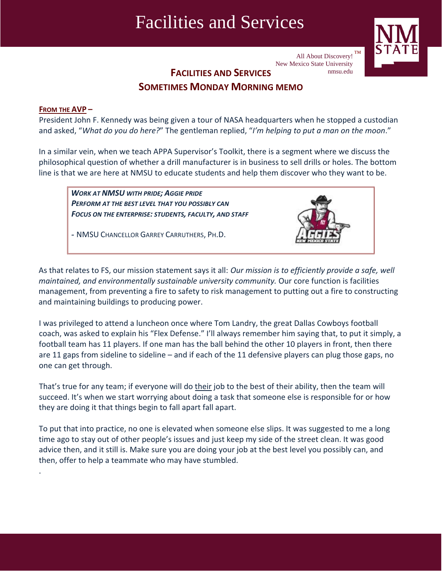## Facilities and Services



All About Discovery!  $TM$ New Mexico State University nmsu.edu

**FACILITIES AND SERVICES**

### **SOMETIMES MONDAY MORNING MEMO**

#### **FROM THE AVP –**

.

President John F. Kennedy was being given a tour of NASA headquarters when he stopped a custodian and asked, "*What do you do here?*" The gentleman replied, "*I'm helping to put a man on the moon*."

In a similar vein, when we teach APPA Supervisor's Toolkit, there is a segment where we discuss the philosophical question of whether a drill manufacturer is in business to sell drills or holes. The bottom line is that we are here at NMSU to educate students and help them discover who they want to be.

*WORK AT NMSU WITH PRIDE; AGGIE PRIDE PERFORM AT THE BEST LEVEL THAT YOU POSSIBLY CAN FOCUS ON THE ENTERPRISE: STUDENTS, FACULTY, AND STAFF*

*-* NMSU CHANCELLOR GARREY CARRUTHERS, PH.D.



As that relates to FS, our mission statement says it all: *Our mission is to efficiently provide a safe, well maintained, and environmentally sustainable university community.* Our core function is facilities management, from preventing a fire to safety to risk management to putting out a fire to constructing and maintaining buildings to producing power.

I was privileged to attend a luncheon once where Tom Landry, the great Dallas Cowboys football coach, was asked to explain his "Flex Defense." I'll always remember him saying that, to put it simply, a football team has 11 players. If one man has the ball behind the other 10 players in front, then there are 11 gaps from sideline to sideline – and if each of the 11 defensive players can plug those gaps, no one can get through.

That's true for any team; if everyone will do their job to the best of their ability, then the team will succeed. It's when we start worrying about doing a task that someone else is responsible for or how they are doing it that things begin to fall apart fall apart.

To put that into practice, no one is elevated when someone else slips. It was suggested to me a long time ago to stay out of other people's issues and just keep my side of the street clean. It was good advice then, and it still is. Make sure you are doing your job at the best level you possibly can, and then, offer to help a teammate who may have stumbled.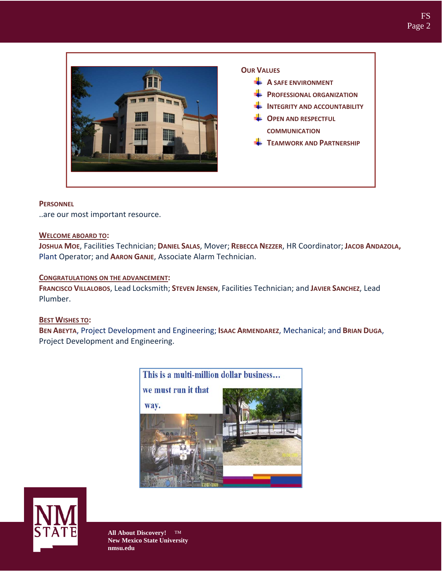

#### **PERSONNEL**

..are our most important resource.

#### **WELCOME ABOARD TO:**

**JOSHUA MOE**, Facilities Technician; **DANIEL SALAS**, Mover; **REBECCA NEZZER**, HR Coordinator; **JACOB ANDAZOLA,** Plant Operator; and **AARON GANJE**, Associate Alarm Technician.

#### **CONGRATULATIONS ON THE ADVANCEMENT:**

**FRANCISCO VILLALOBOS**, Lead Locksmith; **STEVEN JENSEN**, Facilities Technician; and **JAVIER SANCHEZ**, Lead Plumber.

#### **BEST WISHES TO:**

**BEN ABEYTA**, Project Development and Engineering; **ISAAC ARMENDAREZ**, Mechanical; and **BRIAN DUGA**, Project Development and Engineering.



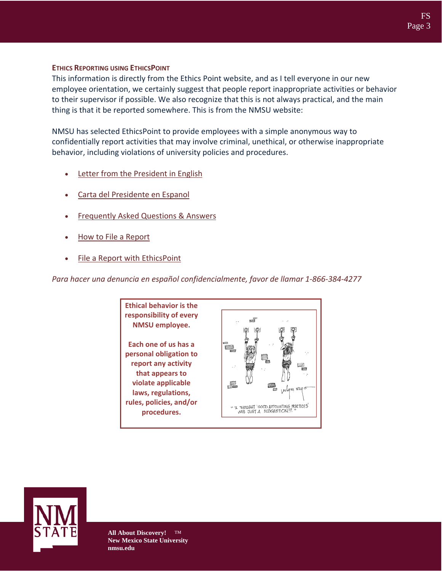#### **ETHICS REPORTING USING ETHICSPOINT**

This information is directly from the Ethics Point website, and as I tell everyone in our new employee orientation, we certainly suggest that people report inappropriate activities or behavior to their supervisor if possible. We also recognize that this is not always practical, and the main thing is that it be reported somewhere. This is from the NMSU website:

NMSU has selected EthicsPoint to provide employees with a simple anonymous way to confidentially report activities that may involve criminal, unethical, or otherwise inappropriate behavior, including violations of university policies and procedures.

- Letter from the President in English
- Carta del Presidente en Espanol
- Frequently Asked Questions & Answers
- How to File a Report
- File a Report with EthicsPoint

*Para hacer una denuncia en español confidencialmente, favor de llamar 1‐866‐384‐4277*



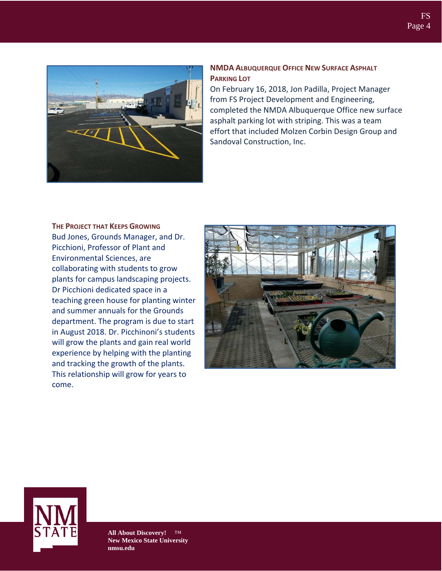

#### **NMDA ALBUQUERQUE OFFICE NEW SURFACE ASPHALT PARKING LOT**

On February 16, 2018, Jon Padilla, Project Manager from FS Project Development and Engineering, completed the NMDA Albuquerque Office new surface asphalt parking lot with striping. This was a team effort that included Molzen Corbin Design Group and Sandoval Construction, Inc.

**THE PROJECT THAT KEEPS GROWING** Bud Jones, Grounds Manager, and Dr. Picchioni, Professor of Plant and Environmental Sciences, are collaborating with students to grow plants for campus landscaping projects. Dr Picchioni dedicated space in a teaching green house for planting winter and summer annuals for the Grounds department. The program is due to start in August 2018. Dr. Picchinoni's students will grow the plants and gain real world experience by helping with the planting and tracking the growth of the plants. This relationship will grow for years to come.



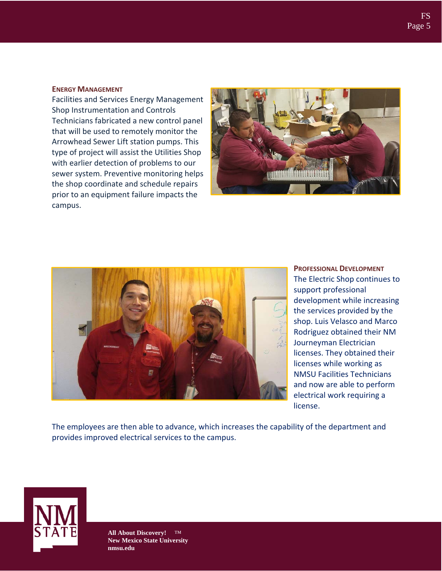#### **ENERGY MANAGEMENT**

Facilities and Services Energy Management Shop Instrumentation and Controls Technicians fabricated a new control panel that will be used to remotely monitor the Arrowhead Sewer Lift station pumps. This type of project will assist the Utilities Shop with earlier detection of problems to our sewer system. Preventive monitoring helps the shop coordinate and schedule repairs prior to an equipment failure impacts the campus.





**PROFESSIONAL DEVELOPMENT** The Electric Shop continues to support professional development while increasing the services provided by the shop. Luis Velasco and Marco Rodriguez obtained their NM Journeyman Electrician licenses. They obtained their licenses while working as NMSU Facilities Technicians and now are able to perform electrical work requiring a license.

The employees are then able to advance, which increases the capability of the department and provides improved electrical services to the campus.

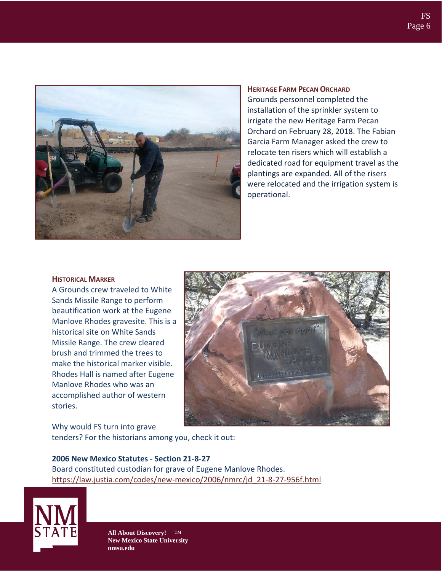

**HERITAGE FARM PECAN ORCHARD** Grounds personnel completed the installation of the sprinkler system to irrigate the new Heritage Farm Pecan Orchard on February 28, 2018. The Fabian Garcia Farm Manager asked the crew to relocate ten risers which will establish a dedicated road for equipment travel as the plantings are expanded. All of the risers were relocated and the irrigation system is operational.

#### **HISTORICAL MARKER**

A Grounds crew traveled to White Sands Missile Range to perform beautification work at the Eugene Manlove Rhodes gravesite. This is a historical site on White Sands Missile Range. The crew cleared brush and trimmed the trees to make the historical marker visible. Rhodes Hall is named after Eugene Manlove Rhodes who was an accomplished author of western stories.

Why would FS turn into grave tenders? For the historians among you, check it out:

#### **2006 New Mexico Statutes ‐ Section 21‐8‐27** Board constituted custodian for grave of Eugene Manlove Rhodes. [https://law.justia.com/codes/new](https://law.justia.com/codes/new-mexico/2006/nmrc/jd_21-8-27-956f.html)‐mexico/2006/nmrc/jd\_21‐8‐27‐956f.html

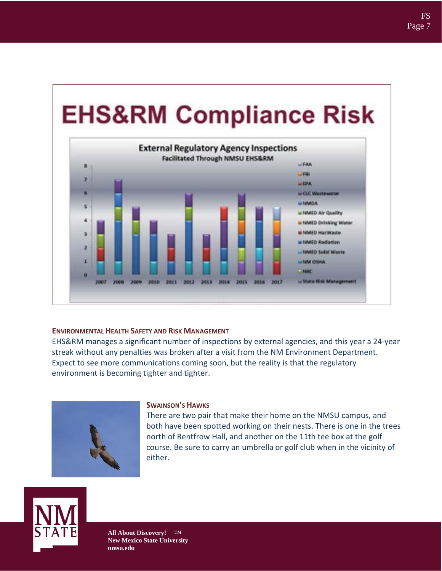# **EHS&RM Compliance Risk**



#### **ENVIRONMENTAL HEALTH SAFETY AND RISK MANAGEMENT**

EHS&RM manages a significant number of inspections by external agencies, and this year a 24‐year streak without any penalties was broken after a visit from the NM Environment Department. Expect to see more communications coming soon, but the reality is that the regulatory environment is becoming tighter and tighter.



#### **SWAINSON'S HAWKS**

There are two pair that make their home on the NMSU campus, and both have been spotted working on their nests. There is one in the trees north of Rentfrow Hall, and another on the 11th tee box at the golf course. Be sure to carry an umbrella or golf club when in the vicinity of either.

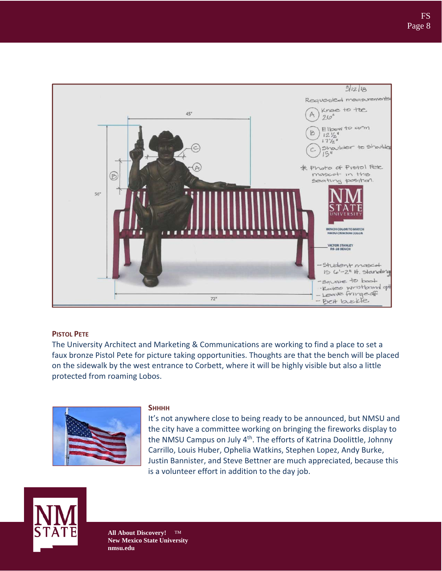

#### **PISTOL PETE**

The University Architect and Marketing & Communications are working to find a place to set a faux bronze Pistol Pete for picture taking opportunities. Thoughts are that the bench will be placed on the sidewalk by the west entrance to Corbett, where it will be highly visible but also a little protected from roaming Lobos.



#### **SHHHH**

It's not anywhere close to being ready to be announced, but NMSU and the city have a committee working on bringing the fireworks display to the NMSU Campus on July 4<sup>th</sup>. The efforts of Katrina Doolittle, Johnny Carrillo, Louis Huber, Ophelia Watkins, Stephen Lopez, Andy Burke, Justin Bannister, and Steve Bettner are much appreciated, because this is a volunteer effort in addition to the day job.

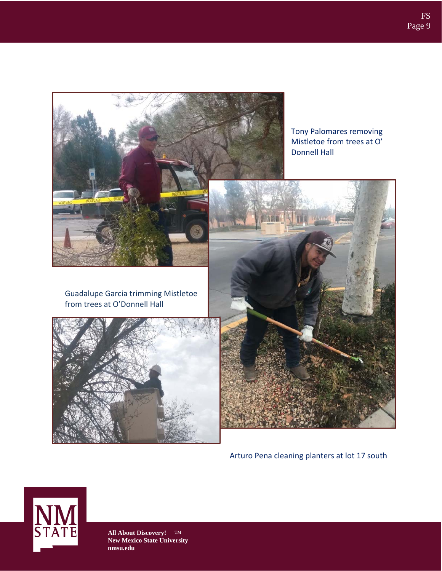

Arturo Pena cleaning planters at lot 17 south